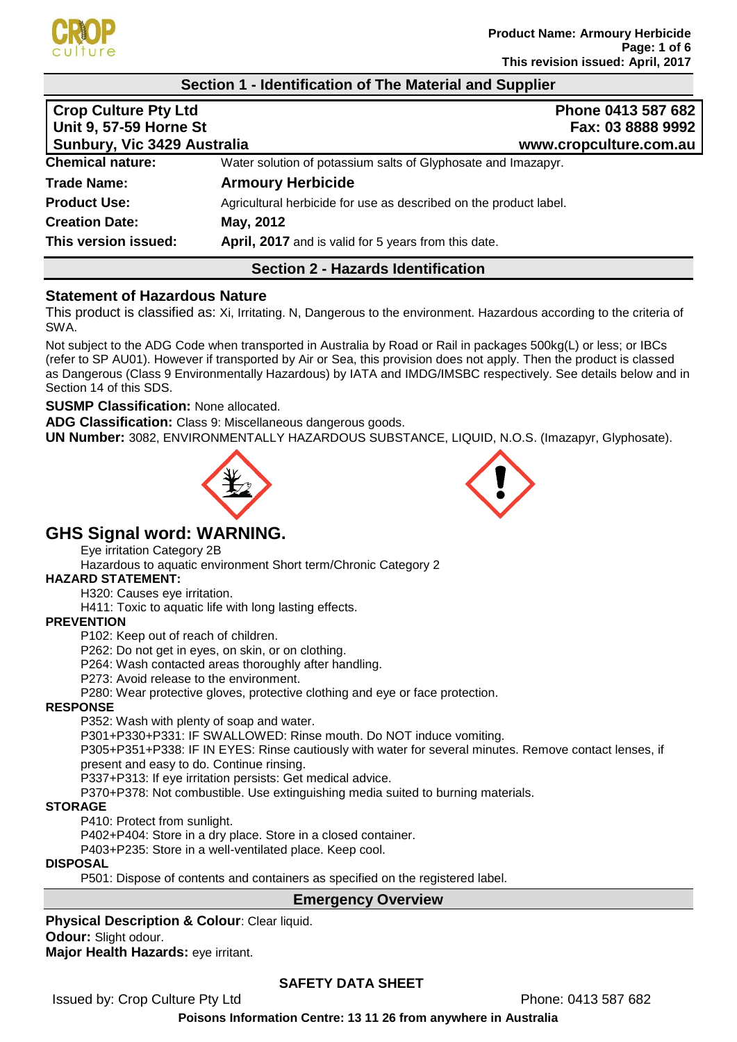

#### **Section 1 - Identification of The Material and Supplier**

| <b>Crop Culture Pty Ltd</b><br><b>Unit 9, 57-59 Horne St</b><br>Sunbury, Vic 3429 Australia | Phone 0413 587 682<br>Fax: 03 8888 9992<br>www.cropculture.com.au |
|---------------------------------------------------------------------------------------------|-------------------------------------------------------------------|
| <b>Chemical nature:</b>                                                                     | Water solution of potassium salts of Glyphosate and Imazapyr.     |
| <b>Trade Name:</b>                                                                          | <b>Armoury Herbicide</b>                                          |
| <b>Product Use:</b>                                                                         | Agricultural herbicide for use as described on the product label. |
| <b>Creation Date:</b>                                                                       | May, 2012                                                         |
| This version issued:                                                                        | April, 2017 and is valid for 5 years from this date.              |

# **Section 2 - Hazards Identification**

#### **Statement of Hazardous Nature**

This product is classified as: Xi, Irritating. N, Dangerous to the environment. Hazardous according to the criteria of SWA.

Not subject to the ADG Code when transported in Australia by Road or Rail in packages 500kg(L) or less; or IBCs (refer to SP AU01). However if transported by Air or Sea, this provision does not apply. Then the product is classed as Dangerous (Class 9 Environmentally Hazardous) by IATA and IMDG/IMSBC respectively. See details below and in Section 14 of this SDS.

#### **SUSMP Classification:** None allocated.

**ADG Classification:** Class 9: Miscellaneous dangerous goods.

**UN Number:** 3082, ENVIRONMENTALLY HAZARDOUS SUBSTANCE, LIQUID, N.O.S. (Imazapyr, Glyphosate).





# **GHS Signal word: WARNING.**

Eye irritation Category 2B

Hazardous to aquatic environment Short term/Chronic Category 2

#### **HAZARD STATEMENT:**

H320: Causes eye irritation.

H411: Toxic to aquatic life with long lasting effects.

#### **PREVENTION**

P102: Keep out of reach of children.

P262: Do not get in eyes, on skin, or on clothing.

P264: Wash contacted areas thoroughly after handling.

P273: Avoid release to the environment.

P280: Wear protective gloves, protective clothing and eye or face protection.

#### **RESPONSE**

P352: Wash with plenty of soap and water.

P301+P330+P331: IF SWALLOWED: Rinse mouth. Do NOT induce vomiting.

P305+P351+P338: IF IN EYES: Rinse cautiously with water for several minutes. Remove contact lenses, if present and easy to do. Continue rinsing.

P337+P313: If eye irritation persists: Get medical advice.

P370+P378: Not combustible. Use extinguishing media suited to burning materials.

#### **STORAGE**

P410: Protect from sunlight.

P402+P404: Store in a dry place. Store in a closed container.

P403+P235: Store in a well-ventilated place. Keep cool.

# **DISPOSAL**

P501: Dispose of contents and containers as specified on the registered label.

#### **Emergency Overview**

**Physical Description & Colour**: Clear liquid. **Odour:** Slight odour.

**Major Health Hazards:** eye irritant.

# **SAFETY DATA SHEET**

Issued by: Crop Culture Pty Ltd **Phone: 0413 587 682**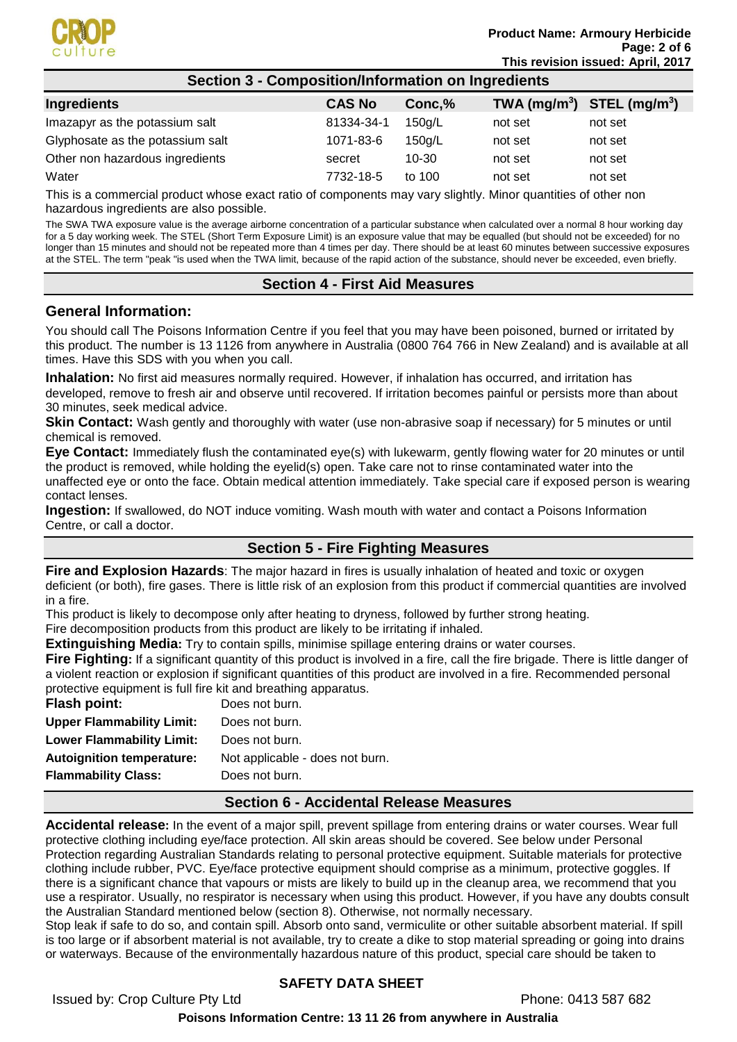

| <b>CAS No</b> | Conc,% |         | TWA $(mg/m^3)$ STEL $(mg/m^3)$ |
|---------------|--------|---------|--------------------------------|
| 81334-34-1    | 150q/L | not set | not set                        |
| 1071-83-6     | 150a/L | not set | not set                        |
| secret        | 10-30  | not set | not set                        |
| 7732-18-5     | to 100 | not set | not set                        |
|               |        |         |                                |

This is a commercial product whose exact ratio of components may vary slightly. Minor quantities of other non hazardous ingredients are also possible.

The SWA TWA exposure value is the average airborne concentration of a particular substance when calculated over a normal 8 hour working day for a 5 day working week. The STEL (Short Term Exposure Limit) is an exposure value that may be equalled (but should not be exceeded) for no longer than 15 minutes and should not be repeated more than 4 times per day. There should be at least 60 minutes between successive exposures at the STEL. The term "peak "is used when the TWA limit, because of the rapid action of the substance, should never be exceeded, even briefly.

#### **Section 4 - First Aid Measures**

#### **General Information:**

You should call The Poisons Information Centre if you feel that you may have been poisoned, burned or irritated by this product. The number is 13 1126 from anywhere in Australia (0800 764 766 in New Zealand) and is available at all times. Have this SDS with you when you call.

**Inhalation:** No first aid measures normally required. However, if inhalation has occurred, and irritation has developed, remove to fresh air and observe until recovered. If irritation becomes painful or persists more than about 30 minutes, seek medical advice.

**Skin Contact:** Wash gently and thoroughly with water (use non-abrasive soap if necessary) for 5 minutes or until chemical is removed.

**Eye Contact:** Immediately flush the contaminated eye(s) with lukewarm, gently flowing water for 20 minutes or until the product is removed, while holding the eyelid(s) open. Take care not to rinse contaminated water into the unaffected eye or onto the face. Obtain medical attention immediately. Take special care if exposed person is wearing contact lenses.

**Ingestion:** If swallowed, do NOT induce vomiting. Wash mouth with water and contact a Poisons Information Centre, or call a doctor.

# **Section 5 - Fire Fighting Measures**

**Fire and Explosion Hazards**: The major hazard in fires is usually inhalation of heated and toxic or oxygen deficient (or both), fire gases. There is little risk of an explosion from this product if commercial quantities are involved in a fire.

This product is likely to decompose only after heating to dryness, followed by further strong heating. Fire decomposition products from this product are likely to be irritating if inhaled.

**Extinguishing Media:** Try to contain spills, minimise spillage entering drains or water courses.

**Fire Fighting:** If a significant quantity of this product is involved in a fire, call the fire brigade. There is little danger of a violent reaction or explosion if significant quantities of this product are involved in a fire. Recommended personal protective equipment is full fire kit and breathing apparatus.

| Flash point:                     | Does not burn.                  |
|----------------------------------|---------------------------------|
| <b>Upper Flammability Limit:</b> | Does not burn.                  |
| <b>Lower Flammability Limit:</b> | Does not burn.                  |
| <b>Autoignition temperature:</b> | Not applicable - does not burn. |
| <b>Flammability Class:</b>       | Does not burn.                  |
|                                  |                                 |

#### **Section 6 - Accidental Release Measures**

**Accidental release:** In the event of a major spill, prevent spillage from entering drains or water courses. Wear full protective clothing including eye/face protection. All skin areas should be covered. See below under Personal Protection regarding Australian Standards relating to personal protective equipment. Suitable materials for protective clothing include rubber, PVC. Eye/face protective equipment should comprise as a minimum, protective goggles. If there is a significant chance that vapours or mists are likely to build up in the cleanup area, we recommend that you use a respirator. Usually, no respirator is necessary when using this product. However, if you have any doubts consult the Australian Standard mentioned below (section 8). Otherwise, not normally necessary.

Stop leak if safe to do so, and contain spill. Absorb onto sand, vermiculite or other suitable absorbent material. If spill is too large or if absorbent material is not available, try to create a dike to stop material spreading or going into drains or waterways. Because of the environmentally hazardous nature of this product, special care should be taken to

# **SAFETY DATA SHEET**

Issued by: Crop Culture Pty Ltd **Phone: 0413 587 682**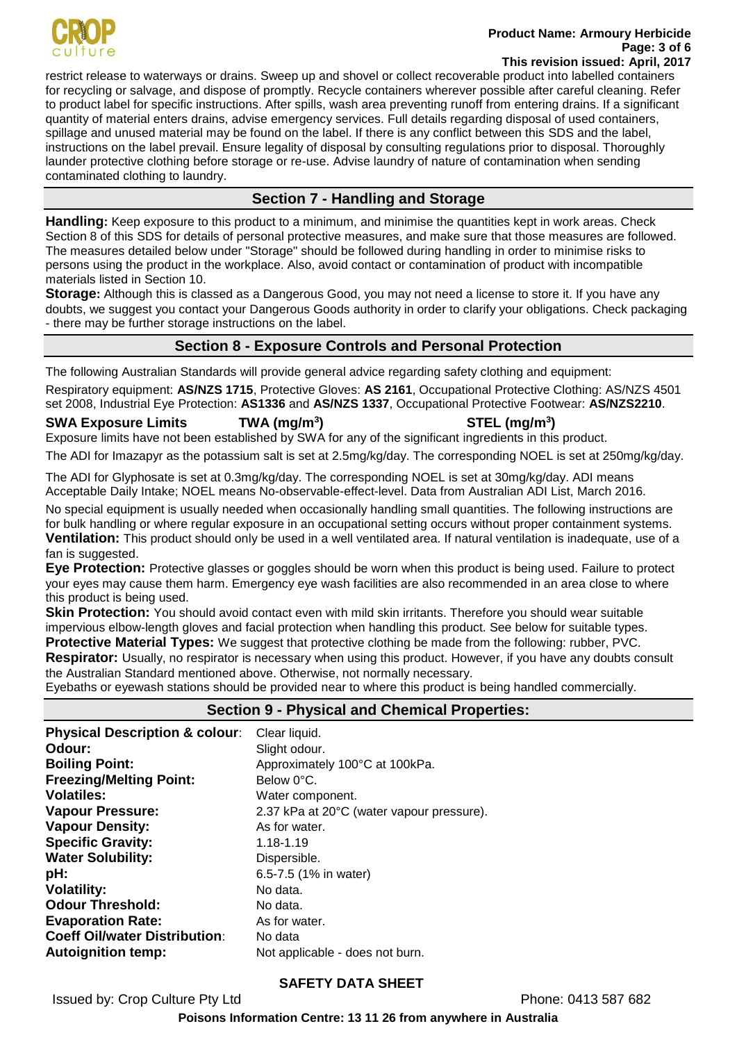

#### **Product Name: Armoury Herbicide Page: 3 of 6 This revision issued: April, 2017**

restrict release to waterways or drains. Sweep up and shovel or collect recoverable product into labelled containers for recycling or salvage, and dispose of promptly. Recycle containers wherever possible after careful cleaning. Refer to product label for specific instructions. After spills, wash area preventing runoff from entering drains. If a significant quantity of material enters drains, advise emergency services. Full details regarding disposal of used containers, spillage and unused material may be found on the label. If there is any conflict between this SDS and the label, instructions on the label prevail. Ensure legality of disposal by consulting regulations prior to disposal. Thoroughly launder protective clothing before storage or re-use. Advise laundry of nature of contamination when sending contaminated clothing to laundry.

# **Section 7 - Handling and Storage**

**Handling:** Keep exposure to this product to a minimum, and minimise the quantities kept in work areas. Check Section 8 of this SDS for details of personal protective measures, and make sure that those measures are followed. The measures detailed below under "Storage" should be followed during handling in order to minimise risks to persons using the product in the workplace. Also, avoid contact or contamination of product with incompatible materials listed in Section 10.

**Storage:** Although this is classed as a Dangerous Good, you may not need a license to store it. If you have any doubts, we suggest you contact your Dangerous Goods authority in order to clarify your obligations. Check packaging - there may be further storage instructions on the label.

# **Section 8 - Exposure Controls and Personal Protection**

The following Australian Standards will provide general advice regarding safety clothing and equipment:

Respiratory equipment: **AS/NZS 1715**, Protective Gloves: **AS 2161**, Occupational Protective Clothing: AS/NZS 4501 set 2008, Industrial Eye Protection: **AS1336** and **AS/NZS 1337**, Occupational Protective Footwear: **AS/NZS2210**.

#### **SWA Exposure Limits TWA (mg/m<sup>3</sup>**

**) STEL (mg/m<sup>3</sup> )** Exposure limits have not been established by SWA for any of the significant ingredients in this product.

The ADI for Imazapyr as the potassium salt is set at 2.5mg/kg/day. The corresponding NOEL is set at 250mg/kg/day.

The ADI for Glyphosate is set at 0.3mg/kg/day. The corresponding NOEL is set at 30mg/kg/day. ADI means Acceptable Daily Intake; NOEL means No-observable-effect-level. Data from Australian ADI List, March 2016.

No special equipment is usually needed when occasionally handling small quantities. The following instructions are for bulk handling or where regular exposure in an occupational setting occurs without proper containment systems. **Ventilation:** This product should only be used in a well ventilated area. If natural ventilation is inadequate, use of a fan is suggested.

**Eye Protection:** Protective glasses or goggles should be worn when this product is being used. Failure to protect your eyes may cause them harm. Emergency eye wash facilities are also recommended in an area close to where this product is being used.

**Skin Protection:** You should avoid contact even with mild skin irritants. Therefore you should wear suitable impervious elbow-length gloves and facial protection when handling this product. See below for suitable types. **Protective Material Types:** We suggest that protective clothing be made from the following: rubber, PVC.

**Respirator:** Usually, no respirator is necessary when using this product. However, if you have any doubts consult the Australian Standard mentioned above. Otherwise, not normally necessary.

Eyebaths or eyewash stations should be provided near to where this product is being handled commercially.

# **Section 9 - Physical and Chemical Properties:**

| Clear liquid.                             |
|-------------------------------------------|
| Slight odour.                             |
| Approximately 100°C at 100kPa.            |
| Below 0°C.                                |
| Water component.                          |
| 2.37 kPa at 20°C (water vapour pressure). |
| As for water.                             |
| 1.18-1.19                                 |
| Dispersible.                              |
| 6.5-7.5 (1% in water)                     |
| No data.                                  |
| No data.                                  |
| As for water.                             |
| No data                                   |
| Not applicable - does not burn.           |
|                                           |

# **SAFETY DATA SHEET**

Issued by: Crop Culture Pty Ltd **Phone: 0413 587 682**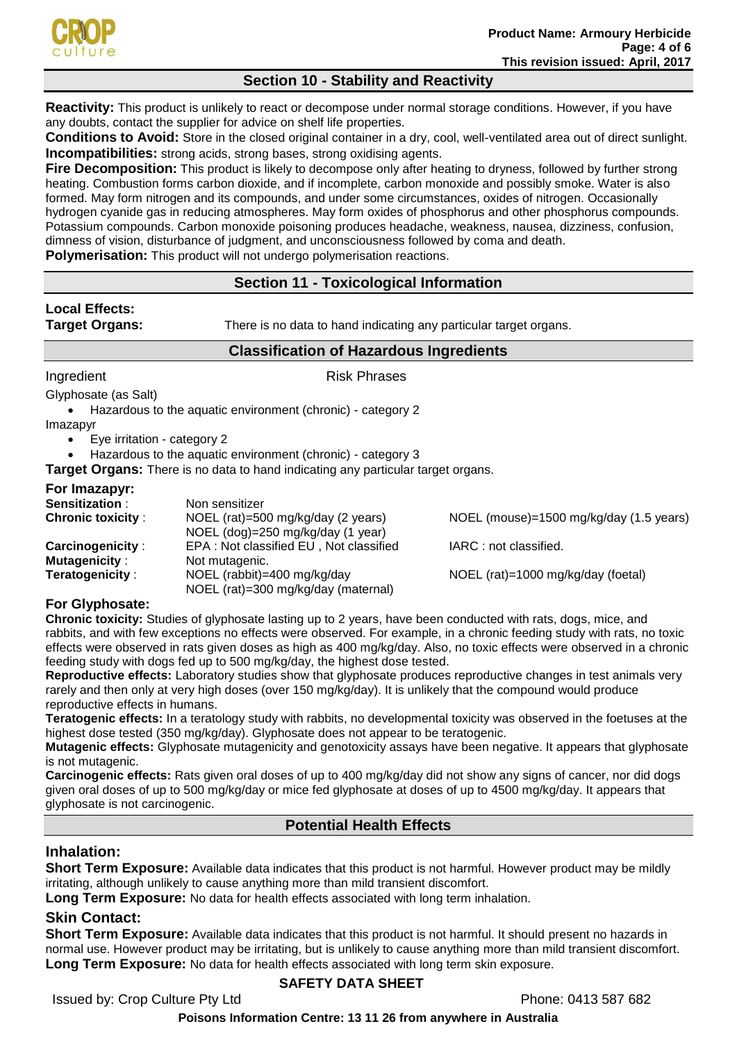

# **Section 10 - Stability and Reactivity**

**Reactivity:** This product is unlikely to react or decompose under normal storage conditions. However, if you have any doubts, contact the supplier for advice on shelf life properties.

**Conditions to Avoid:** Store in the closed original container in a dry, cool, well-ventilated area out of direct sunlight. **Incompatibilities:** strong acids, strong bases, strong oxidising agents.

**Fire Decomposition:** This product is likely to decompose only after heating to dryness, followed by further strong heating. Combustion forms carbon dioxide, and if incomplete, carbon monoxide and possibly smoke. Water is also formed. May form nitrogen and its compounds, and under some circumstances, oxides of nitrogen. Occasionally hydrogen cyanide gas in reducing atmospheres. May form oxides of phosphorus and other phosphorus compounds. Potassium compounds. Carbon monoxide poisoning produces headache, weakness, nausea, dizziness, confusion, dimness of vision, disturbance of judgment, and unconsciousness followed by coma and death.

**Polymerisation:** This product will not undergo polymerisation reactions.

# **Section 11 - Toxicological Information**

# **Local Effects:**

**Target Organs:** There is no data to hand indicating any particular target organs.

# **Classification of Hazardous Ingredients**

Ingredient **Risk Phrases** 

Glyphosate (as Salt)

• Hazardous to the aquatic environment (chronic) - category 2

Imazapyr

• Eye irritation - category 2

• Hazardous to the aquatic environment (chronic) - category 3

**Target Organs:** There is no data to hand indicating any particular target organs.

#### **For Imazapyr:**

| <b>Sensitization:</b>    | Non sensitizer                                                          |                                         |
|--------------------------|-------------------------------------------------------------------------|-----------------------------------------|
| <b>Chronic toxicity:</b> | NOEL (rat)=500 mg/kg/day (2 years)<br>NOEL (dog)=250 mg/kg/day (1 year) | NOEL (mouse)=1500 mg/kg/day (1.5 years) |
| <b>Carcinogenicity:</b>  | EPA: Not classified EU, Not classified                                  | IARC: not classified.                   |
| <b>Mutagenicity:</b>     | Not mutagenic.                                                          |                                         |
| Teratogenicity:          | NOEL (rabbit)=400 mg/kg/day<br>NOEL (rat)=300 mg/kg/day (maternal)      | NOEL (rat)=1000 mg/kg/day (foetal)      |

#### **For Glyphosate:**

**Chronic toxicity:** Studies of glyphosate lasting up to 2 years, have been conducted with rats, dogs, mice, and rabbits, and with few exceptions no effects were observed. For example, in a chronic feeding study with rats, no toxic effects were observed in rats given doses as high as 400 mg/kg/day. Also, no toxic effects were observed in a chronic feeding study with dogs fed up to 500 mg/kg/day, the highest dose tested.

**Reproductive effects:** Laboratory studies show that glyphosate produces reproductive changes in test animals very rarely and then only at very high doses (over 150 mg/kg/day). It is unlikely that the compound would produce reproductive effects in humans.

**Teratogenic effects:** In a teratology study with rabbits, no developmental toxicity was observed in the foetuses at the highest dose tested (350 mg/kg/day). Glyphosate does not appear to be teratogenic.

**Mutagenic effects:** Glyphosate mutagenicity and genotoxicity assays have been negative. It appears that glyphosate is not mutagenic.

**Carcinogenic effects:** Rats given oral doses of up to 400 mg/kg/day did not show any signs of cancer, nor did dogs given oral doses of up to 500 mg/kg/day or mice fed glyphosate at doses of up to 4500 mg/kg/day. It appears that glyphosate is not carcinogenic.

#### **Potential Health Effects**

# **Inhalation:**

**Short Term Exposure:** Available data indicates that this product is not harmful. However product may be mildly irritating, although unlikely to cause anything more than mild transient discomfort.

**Long Term Exposure:** No data for health effects associated with long term inhalation.

# **Skin Contact:**

**Short Term Exposure:** Available data indicates that this product is not harmful. It should present no hazards in normal use. However product may be irritating, but is unlikely to cause anything more than mild transient discomfort. **Long Term Exposure:** No data for health effects associated with long term skin exposure.

# **SAFETY DATA SHEET**

Issued by: Crop Culture Pty Ltd **Phone: 0413 587 682**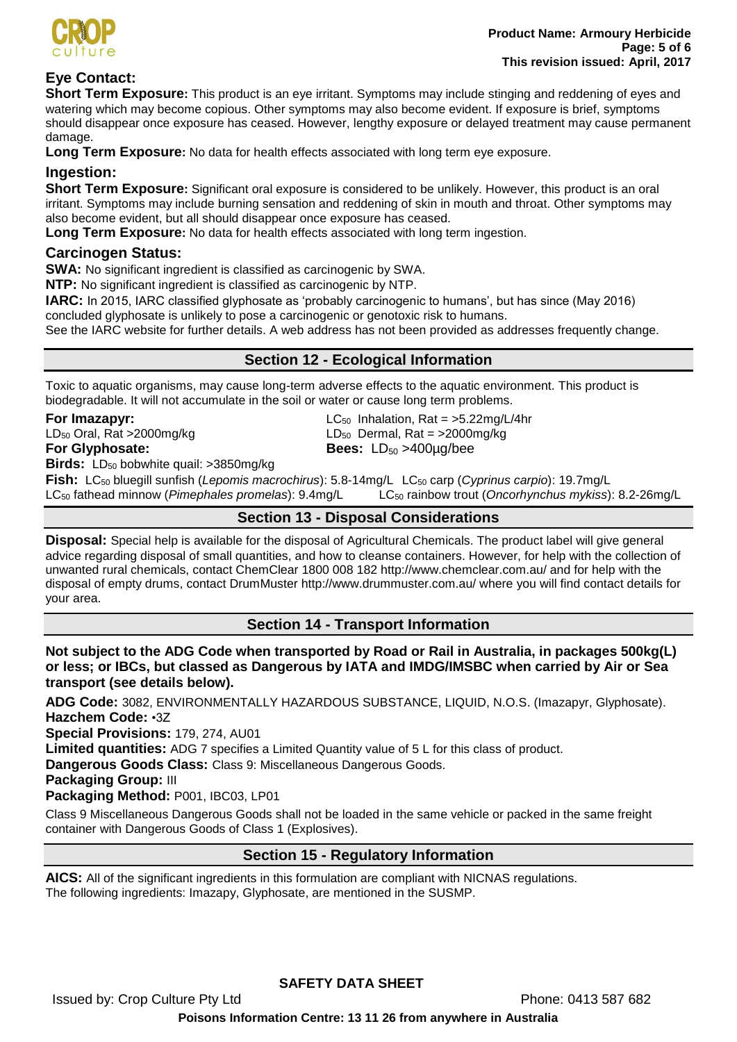

# **Eye Contact:**

**Short Term Exposure:** This product is an eye irritant. Symptoms may include stinging and reddening of eyes and watering which may become copious. Other symptoms may also become evident. If exposure is brief, symptoms should disappear once exposure has ceased. However, lengthy exposure or delayed treatment may cause permanent damage.

**Long Term Exposure:** No data for health effects associated with long term eye exposure.

#### **Ingestion:**

**Short Term Exposure:** Significant oral exposure is considered to be unlikely. However, this product is an oral irritant. Symptoms may include burning sensation and reddening of skin in mouth and throat. Other symptoms may also become evident, but all should disappear once exposure has ceased.

**Long Term Exposure:** No data for health effects associated with long term ingestion.

# **Carcinogen Status:**

**SWA:** No significant ingredient is classified as carcinogenic by SWA.

**NTP:** No significant ingredient is classified as carcinogenic by NTP.

**IARC:** In 2015, IARC classified glyphosate as 'probably carcinogenic to humans', but has since (May 2016)

concluded glyphosate is unlikely to pose a carcinogenic or genotoxic risk to humans.

See the IARC website for further details. A web address has not been provided as addresses frequently change.

# **Section 12 - Ecological Information**

Toxic to aquatic organisms, may cause long-term adverse effects to the aquatic environment. This product is biodegradable. It will not accumulate in the soil or water or cause long term problems.

**For Imazapyr:** LC<sub>50</sub> Inhalation, Rat = >5.22mg/L/4hr  $LD_{50}$  Oral, Rat >2000mg/kg LD<sub>50</sub> Dermal, Rat = >2000mg/kg **For Glyphosate: Bees:** LD<sub>50</sub> >400µg/bee

**Birds:** LD<sub>50</sub> bobwhite quail: >3850mg/kg

**Fish:** LC<sup>50</sup> bluegill sunfish (*Lepomis macrochirus*): 5.8-14mg/L LC<sup>50</sup> carp (*Cyprinus carpio*): 19.7mg/L LC<sup>50</sup> fathead minnow (*Pimephales promelas*): 9.4mg/L LC<sup>50</sup> rainbow trout (*Oncorhynchus mykiss*): 8.2-26mg/L

# **Section 13 - Disposal Considerations**

**Disposal:** Special help is available for the disposal of Agricultural Chemicals. The product label will give general advice regarding disposal of small quantities, and how to cleanse containers. However, for help with the collection of unwanted rural chemicals, contact ChemClear 1800 008 182 http://www.chemclear.com.au/ and for help with the disposal of empty drums, contact DrumMuster http://www.drummuster.com.au/ where you will find contact details for your area.

# **Section 14 - Transport Information**

**Not subject to the ADG Code when transported by Road or Rail in Australia, in packages 500kg(L) or less; or IBCs, but classed as Dangerous by IATA and IMDG/IMSBC when carried by Air or Sea transport (see details below).** 

**ADG Code:** 3082, ENVIRONMENTALLY HAZARDOUS SUBSTANCE, LIQUID, N.O.S. (Imazapyr, Glyphosate). **Hazchem Code:** •3Z

**Special Provisions:** 179, 274, AU01

**Limited quantities:** ADG 7 specifies a Limited Quantity value of 5 L for this class of product.

**Dangerous Goods Class:** Class 9: Miscellaneous Dangerous Goods.

**Packaging Group:** III

**Packaging Method:** P001, IBC03, LP01

Class 9 Miscellaneous Dangerous Goods shall not be loaded in the same vehicle or packed in the same freight container with Dangerous Goods of Class 1 (Explosives).

# **Section 15 - Regulatory Information**

**AICS:** All of the significant ingredients in this formulation are compliant with NICNAS regulations. The following ingredients: Imazapy, Glyphosate, are mentioned in the SUSMP.

**SAFETY DATA SHEET**

Issued by: Crop Culture Pty Ltd **Phone: 0413 587 682**